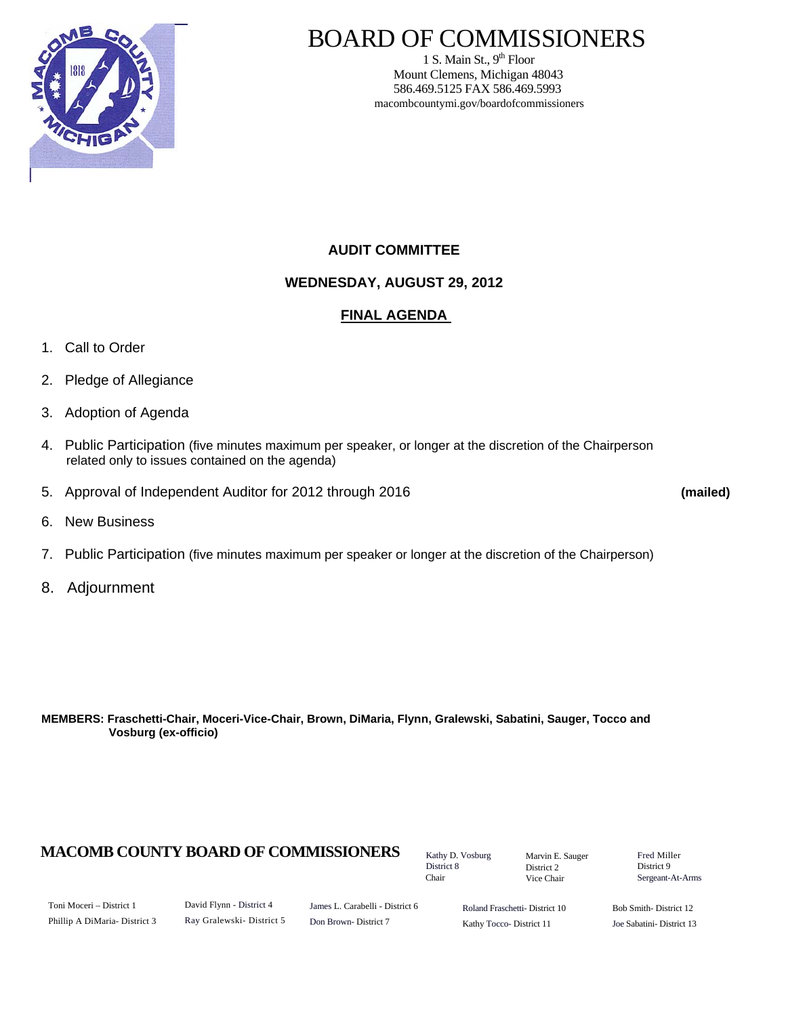

# BOARD OF COMMISSIONERS

1 S. Main St.,  $9<sup>th</sup>$  Floor Mount Clemens, Michigan 48043 586.469.5125 FAX 586.469.5993 macombcountymi.gov/boardofcommissioners

## **AUDIT COMMITTEE**

**WEDNESDAY, AUGUST 29, 2012** 

### **FINAL AGENDA**

- 1. Call to Order
- 2. Pledge of Allegiance
- 3. Adoption of Agenda
- 4. Public Participation (five minutes maximum per speaker, or longer at the discretion of the Chairperson related only to issues contained on the agenda)
- 5. Approval of Independent Auditor for 2012 through 2016 **(mailed)**

- 6. New Business
- 7. Public Participation (five minutes maximum per speaker or longer at the discretion of the Chairperson)
- 8. Adjournment

**MEMBERS: Fraschetti-Chair, Moceri-Vice-Chair, Brown, DiMaria, Flynn, Gralewski, Sabatini, Sauger, Tocco and Vosburg (ex-officio)** 

## **MACOMB COUNTY BOARD OF COMMISSIONERS** Factor D. Vosburg Marvin F. Sauger Fred Miller

Kathy D. Vosburg District 8 Chair

Marvin E. Sauger District 2 Vice Chair

District 9 Sergeant-At-Arms

Toni Moceri – District 1 Phillip A DiMaria- District 3 David Flynn - District 4 Ray Gralewski- District 5 James L. Carabelli - District 6 Don Brown- District 7

Roland Fraschetti- District 10 Kathy Tocco- District 11

Bob Smith- District 12 Joe Sabatini- District 13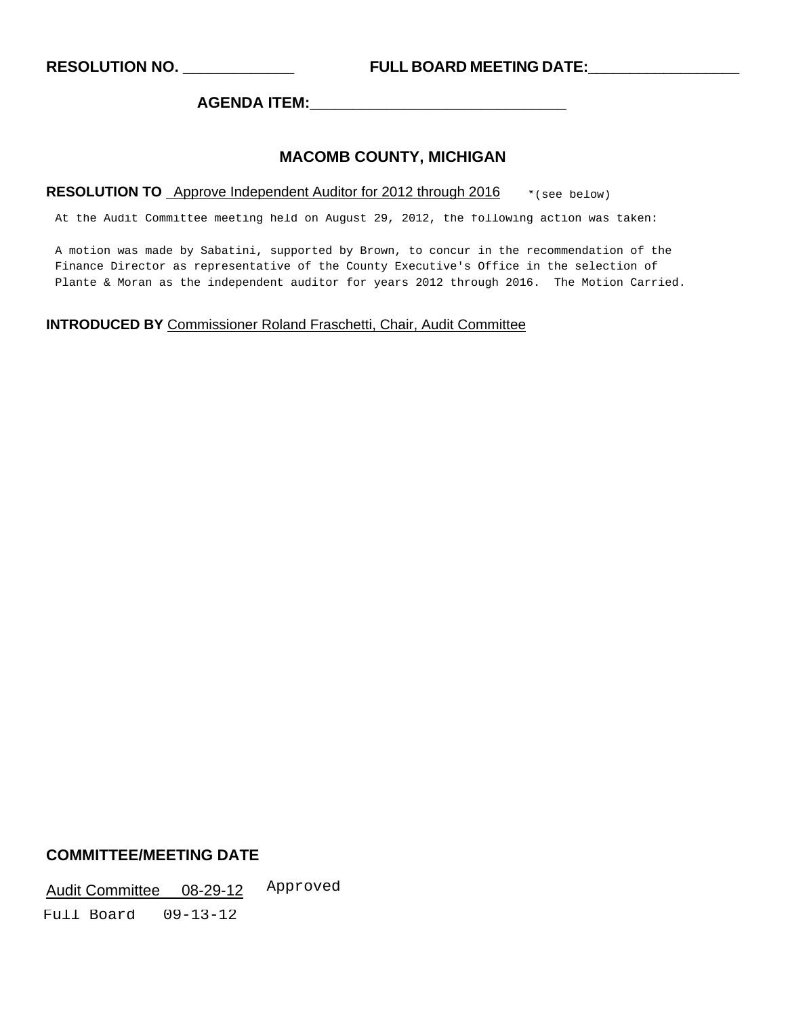**RESOLUTION NO. \_\_\_\_\_\_\_\_\_\_\_\_\_ FULL BOARD MEETING DATE:\_\_\_\_\_\_\_\_\_\_\_\_\_\_\_\_\_\_** 

**AGENDA ITEM:\_\_\_\_\_\_\_\_\_\_\_\_\_\_\_\_\_\_\_\_\_\_\_\_\_\_\_\_\_\_** 

#### **MACOMB COUNTY, MICHIGAN**

#### RESOLUTION TO Approve Independent Auditor for 2012 through 2016  $\rightarrow$  \* (see below)

At the Audit Committee meeting held on August 29, 2012, the following action was taken:

A motion was made by Sabatini, supported by Brown, to concur in the recommendation of the Finance Director as representative of the County Executive's Office in the selection of Plante & Moran as the independent auditor for years 2012 through 2016. The Motion Carried.

#### **INTRODUCED BY** Commissioner Roland Fraschetti, Chair, Audit Committee

#### **COMMITTEE/MEETING DATE**

Audit Committee 08-29-12 Approved

Full Board 09-13-12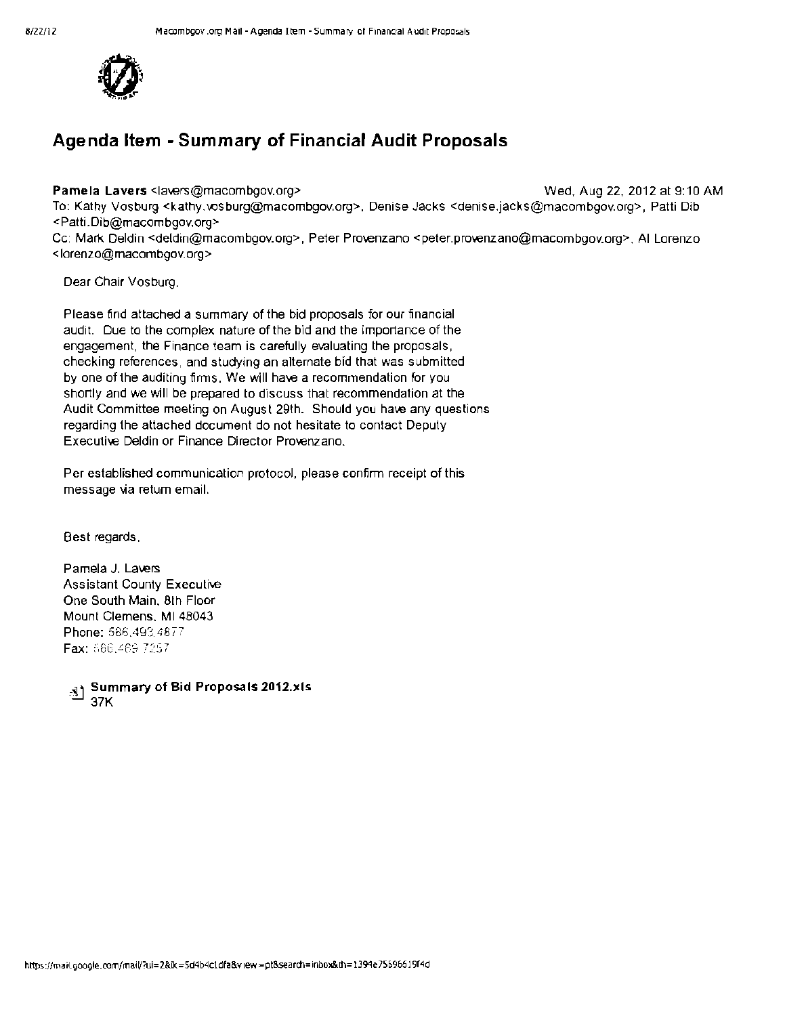

# Agenda Item - Summary of Financial Audit Proposals

Pamela Lavers <lavers@macombgov.org> Wed, Aug 22, 2012 at 9:10 AM

To: Kathy Vosburg <kathy.vosburg@macombgov.org>, Denise Jacks <denise.jacks@macombgov.org>, Patti Dib <Patti.Dib@macombgov.org>

Cc: Mark Deldin <deldin@macombgov.org>, Peter Provenzano <peter.provenzano@macombgov.org>, AI Lorenzo <Iorenzo@macombgov.org>

Dear Chair Vosburg.

Please find attached a summary of the bid proposals for our financial audit. Due to the complex nature of the bid and the importance of the engagement, the Finance team is carefully evaluating the proposals, checking references, and studying an alternate bid that was submitted by one of the auditing firms. We will have a recommendation for you shortly and we will be prepared to discuss that recommendation at the Audit Committee meeting on August 29th. Should you have any questions regarding the attached document do not hesitate to contact Deputy Executive Deldin or Finance Director Provenzano.

Per established communication protocol, please confirm receipt of this message via retum email.

Best regards.

Pamela J. Lavers Assistant County Executive One South Main, 8th Floor Mount Clemens. MI 48043 Phone: 586,493,4877 Fax: 686,469-7257

-:!J Summary of Bid Proposals 2012.xls 37K